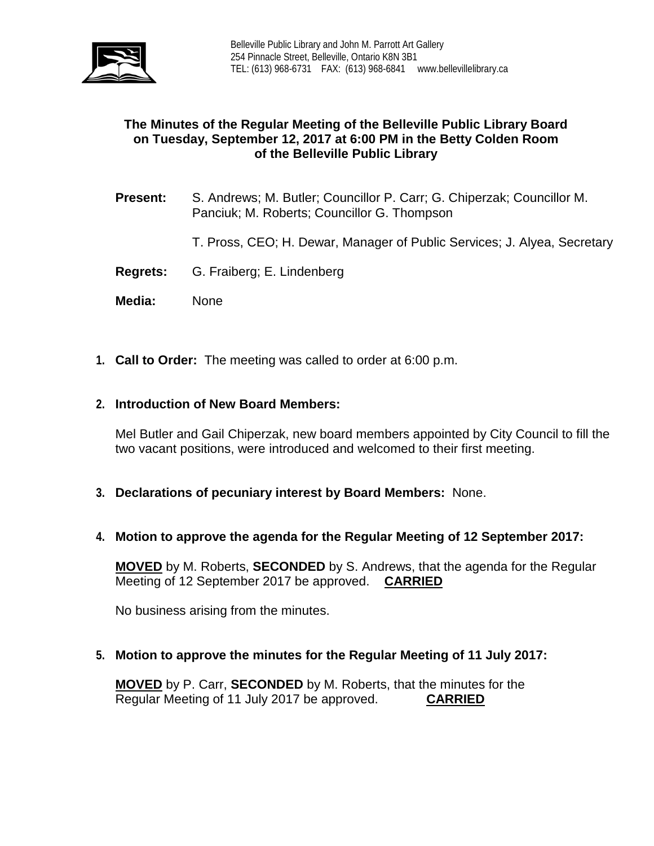

# **The Minutes of the Regular Meeting of the Belleville Public Library Board on Tuesday, September 12, 2017 at 6:00 PM in the Betty Colden Room of the Belleville Public Library**

- **Present:** S. Andrews; M. Butler; Councillor P. Carr; G. Chiperzak; Councillor M. Panciuk; M. Roberts; Councillor G. Thompson
	- T. Pross, CEO; H. Dewar, Manager of Public Services; J. Alyea, Secretary
- **Regrets:** G. Fraiberg; E. Lindenberg
- **Media:** None
- **1. Call to Order:** The meeting was called to order at 6:00 p.m.

#### **2. Introduction of New Board Members:**

Mel Butler and Gail Chiperzak, new board members appointed by City Council to fill the two vacant positions, were introduced and welcomed to their first meeting.

- **3. Declarations of pecuniary interest by Board Members:** None.
- **4. Motion to approve the agenda for the Regular Meeting of 12 September 2017:**

**MOVED** by M. Roberts, **SECONDED** by S. Andrews, that the agenda for the Regular Meeting of 12 September 2017 be approved. **CARRIED**

No business arising from the minutes.

**5. Motion to approve the minutes for the Regular Meeting of 11 July 2017:**

**MOVED** by P. Carr, **SECONDED** by M. Roberts, that the minutes for the Regular Meeting of 11 July 2017 be approved. **CARRIED** Regular Meeting of 11 July 2017 be approved.